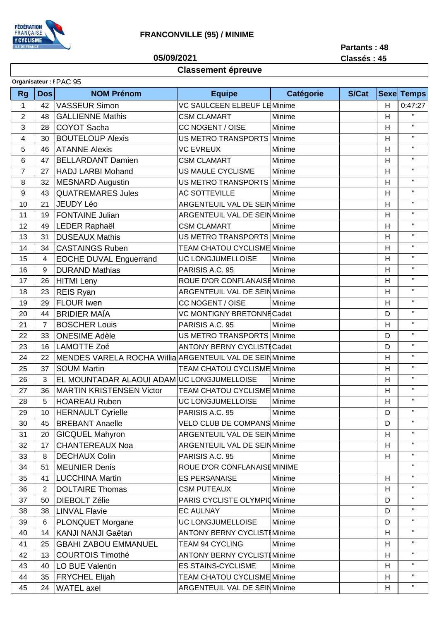

05/09/2021

Partants: 48 Classés: 45

## **Classement épreuve**

| Organisateur: I PAC 95 |                |                                                          |                                      |                  |       |                |                   |
|------------------------|----------------|----------------------------------------------------------|--------------------------------------|------------------|-------|----------------|-------------------|
| <b>Rg</b>              | <b>Dos</b>     | <b>NOM Prénom</b>                                        | <b>Equipe</b>                        | <b>Catégorie</b> | S/Cat |                | <b>Sexe Temps</b> |
| 1                      | 42             | <b>VASSEUR Simon</b>                                     | VC SAULCEEN ELBEUF LEMinime          |                  |       | H              | 0:47:27           |
| $\overline{2}$         | 48             | <b>GALLIENNE Mathis</b>                                  | <b>CSM CLAMART</b>                   | Minime           |       | H              | H.                |
| 3                      | 28             | <b>COYOT Sacha</b>                                       | CC NOGENT / OISE                     | Minime           |       | H              | $\mathbf{H}$      |
| 4                      | 30             | <b>BOUTELOUP Alexis</b>                                  | <b>US METRO TRANSPORTS</b>           | Minime           |       | H              | $\mathbf{H}$      |
| 5                      | 46             | <b>ATANNE Alexis</b>                                     | <b>VC EVREUX</b>                     | Minime           |       | H              | $\mathbf{H}$      |
| 6                      | 47             | <b>BELLARDANT Damien</b>                                 | <b>CSM CLAMART</b>                   | Minime           |       | H              | $\mathbf{H}$      |
| $\overline{7}$         | 27             | <b>HADJ LARBI Mohand</b>                                 | <b>US MAULE CYCLISME</b>             | Minime           |       | H              | $\mathbf{H}$      |
| 8                      | 32             | <b>MESNARD Augustin</b>                                  | <b>US METRO TRANSPORTS</b>           | Minime           |       | H              | $\mathbf{H}$      |
| 9                      | 43             | <b>QUATREMARES Jules</b>                                 | <b>AC SOTTEVILLE</b>                 | Minime           |       | H              | $\mathbf{H}$      |
| 10                     | 21             | <b>JEUDY Léo</b>                                         | ARGENTEUIL VAL DE SEINMinime         |                  |       | H              | $\mathbf{H}$      |
| 11                     | 19             | <b>FONTAINE Julian</b>                                   | <b>ARGENTEUIL VAL DE SEINMinime</b>  |                  |       | $\overline{H}$ | $\mathbf{H}$      |
| 12                     | 49             | LEDER Raphaël                                            | <b>CSM CLAMART</b>                   | Minime           |       | H              | $\mathbf{H}$      |
| 13                     | 31             | <b>DUSEAUX Mathis</b>                                    | US METRO TRANSPORTS Minime           |                  |       | H              | $\mathbf{H}$      |
| 14                     | 34             | <b>CASTAINGS Ruben</b>                                   | TEAM CHATOU CYCLISME Minime          |                  |       | H              | $\mathbf{H}$      |
| 15                     | 4              | <b>EOCHE DUVAL Enguerrand</b>                            | UC LONGJUMELLOISE                    | Minime           |       | H              | $\mathbf{H}$      |
| 16                     | 9              | <b>DURAND Mathias</b>                                    | PARISIS A.C. 95                      | Minime           |       | H              | $\mathbf{H}$      |
| 17                     | 26             | HITMI Leny                                               | ROUE D'OR CONFLANAISEMinime          |                  |       | H              | $\mathbf{H}$      |
| 18                     | 23             | <b>REIS Ryan</b>                                         | ARGENTEUIL VAL DE SEINMinime         |                  |       | $\overline{H}$ | $\mathbf{H}$      |
| 19                     | 29             | <b>FLOUR Iwen</b>                                        | CC NOGENT / OISE                     | Minime           |       | H              | $\mathbf{H}$      |
| 20                     | 44             | <b>BRIDIER MAÏA</b>                                      | VC MONTIGNY BRETONNE Cadet           |                  |       | D              | $\mathbf{H}$      |
| 21                     | $\overline{7}$ | <b>BOSCHER Louis</b>                                     | PARISIS A.C. 95                      | Minime           |       | H              | $\mathbf{H}$      |
| 22                     | 33             | <b>ONESIME Adèle</b>                                     | US METRO TRANSPORTS Minime           |                  |       | D              | $\mathbf{H}$      |
| 23                     | 16             | <b>LAMOTTE Zoé</b>                                       | <b>ANTONY BERNY CYCLISTICadet</b>    |                  |       | D              | $\mathbf{H}$      |
| 24                     | 22             | MENDES VARELA ROCHA Willia ARGENTEUIL VAL DE SEIN Minime |                                      |                  |       | H              | $\mathbf{H}$      |
| 25                     | 37             | <b>SOUM Martin</b>                                       | <b>TEAM CHATOU CYCLISME Minime</b>   |                  |       | H              | $\mathbf{H}$      |
| 26                     | 3              | EL MOUNTADAR ALAOUI ADAM UC LONGJUMELLOISE               |                                      | Minime           |       | H              | $\mathbf{H}$      |
| 27                     | 36             | <b>MARTIN KRISTENSEN Victor</b>                          | TEAM CHATOU CYCLISME Minime          |                  |       | H              | $\mathbf{H}$      |
| 28                     | 5              | <b>HOAREAU Ruben</b>                                     | UC LONGJUMELLOISE                    | Minime           |       | H              | $\mathbf{H}$      |
| 29                     | 10             | <b>HERNAULT Cyrielle</b>                                 | PARISIS A.C. 95                      | Minime           |       | D              | $\mathbf{H}$      |
| 30                     | 45             | <b>BREBANT Anaelle</b>                                   | VELO CLUB DE COMPANS Minime          |                  |       | D              | $\mathbf{H}$      |
| 31                     | 20             | <b>GICQUEL Mahyron</b>                                   | ARGENTEUIL VAL DE SEINMinime         |                  |       | H              | $\mathbf{H}$      |
| 32                     | 17             | <b>CHANTEREAUX Noa</b>                                   | <b>ARGENTEUIL VAL DE SEIN Minime</b> |                  |       | H              | $\mathbf{H}$      |
| 33                     | 8              | <b>DECHAUX Colin</b>                                     | PARISIS A.C. 95                      | Minime           |       | H              | $\mathbf{H}$      |
| 34                     | 51             | <b>MEUNIER Denis</b>                                     | ROUE D'OR CONFLANAISEMINIME          |                  |       |                | $\mathbf{H}$      |
| 35                     | 41             | <b>LUCCHINA Martin</b>                                   | <b>ES PERSANAISE</b>                 | Minime           |       | H              | $\mathbf{H}$      |
| 36                     | $\overline{2}$ | <b>DOLTAIRE Thomas</b>                                   | <b>CSM PUTEAUX</b>                   | Minime           |       | H              | $\mathbf{H}$      |
| 37                     | 50             | <b>DIEBOLT Zélie</b>                                     | PARIS CYCLISTE OLYMPIO Minime        |                  |       | D              | Π.                |
| 38                     | 38             | <b>LINVAL Flavie</b>                                     | <b>EC AULNAY</b>                     | Minime           |       | D              | $\mathbf{H}$      |
| 39                     | 6              | PLONQUET Morgane                                         | UC LONGJUMELLOISE                    | Minime           |       | D              | $\mathbf{H}$      |
| 40                     | 14             | <b>KANJI NANJI Gaëtan</b>                                | <b>ANTONY BERNY CYCLISTI Minime</b>  |                  |       | H              | $\mathbf{H}$      |
| 41                     | 25             | <b>GBAHI ZABOU EMMANUEL</b>                              | <b>TEAM 94 CYCLING</b>               | Minime           |       | H              | $\mathbf{H}$      |
| 42                     | 13             | <b>COURTOIS Timothé</b>                                  | <b>ANTONY BERNY CYCLIST Minime</b>   |                  |       | H              | $\mathbf{H}$      |
| 43                     | 40             | LO BUE Valentin                                          | <b>ES STAINS-CYCLISME</b>            | Minime           |       | H              | $\mathbf{H}$      |
| 44                     | 35             | <b>FRYCHEL Elijah</b>                                    | TEAM CHATOU CYCLISME Minime          |                  |       | H              | $\mathbf{H}$      |
| 45                     | 24             | <b>WATEL</b> axel                                        | ARGENTEUIL VAL DE SEIN Minime        |                  |       | H              | $\mathbf{H}$      |